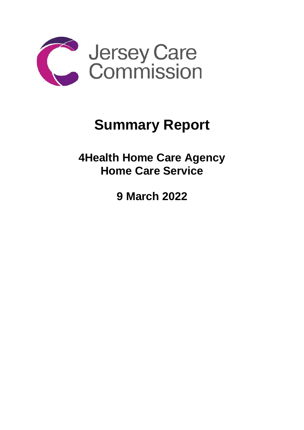

## **Summary Report**

**4Health Home Care Agency Home Care Service**

**9 March 2022**